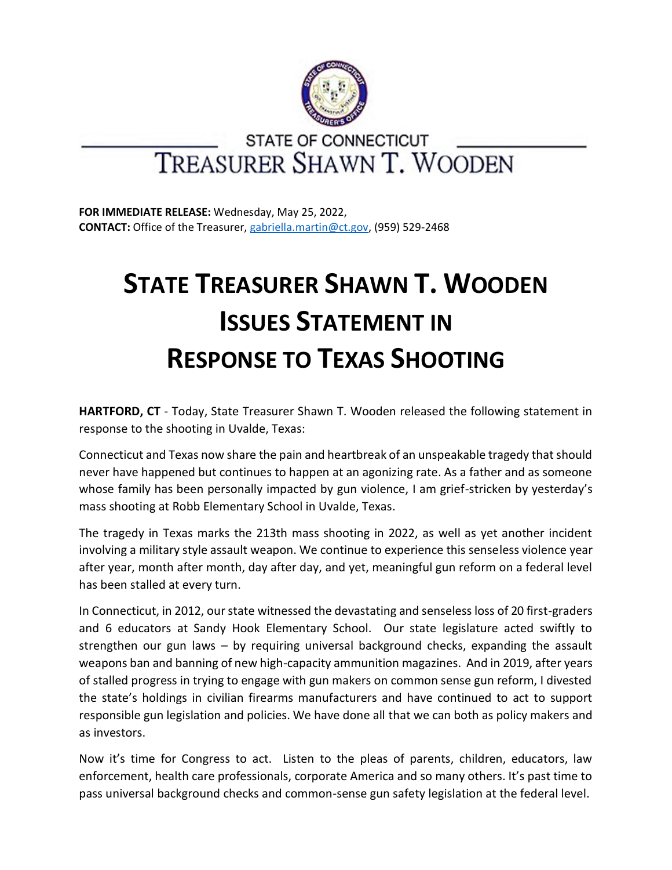

## STATE OF CONNECTICUT TREASURER SHAWN T. WOODEN

**FOR IMMEDIATE RELEASE:** Wednesday, May 25, 2022, **CONTACT:** Office of the Treasurer, [gabriella.martin@ct.gov,](mailto:gabriella.martin@ct.gov) (959) 529-2468

## **STATE TREASURER SHAWN T. WOODEN ISSUES STATEMENT IN RESPONSE TO TEXAS SHOOTING**

**HARTFORD, CT** - Today, State Treasurer Shawn T. Wooden released the following statement in response to the shooting in Uvalde, Texas:

Connecticut and Texas now share the pain and heartbreak of an unspeakable tragedy that should never have happened but continues to happen at an agonizing rate. As a father and as someone whose family has been personally impacted by gun violence, I am grief-stricken by yesterday's mass shooting at Robb Elementary School in Uvalde, Texas.

The tragedy in Texas marks the 213th mass shooting in 2022, as well as yet another incident involving a military style assault weapon. We continue to experience this senseless violence year after year, month after month, day after day, and yet, meaningful gun reform on a federal level has been stalled at every turn.

In Connecticut, in 2012, our state witnessed the devastating and senseless loss of 20 first-graders and 6 educators at Sandy Hook Elementary School. Our state legislature acted swiftly to strengthen our gun laws – by requiring universal background checks, expanding the assault weapons ban and banning of new high-capacity ammunition magazines. And in 2019, after years of stalled progress in trying to engage with gun makers on common sense gun reform, I divested the state's holdings in civilian firearms manufacturers and have continued to act to support responsible gun legislation and policies. We have done all that we can both as policy makers and as investors.

Now it's time for Congress to act. Listen to the pleas of parents, children, educators, law enforcement, health care professionals, corporate America and so many others. It's past time to pass universal background checks and common-sense gun safety legislation at the federal level.